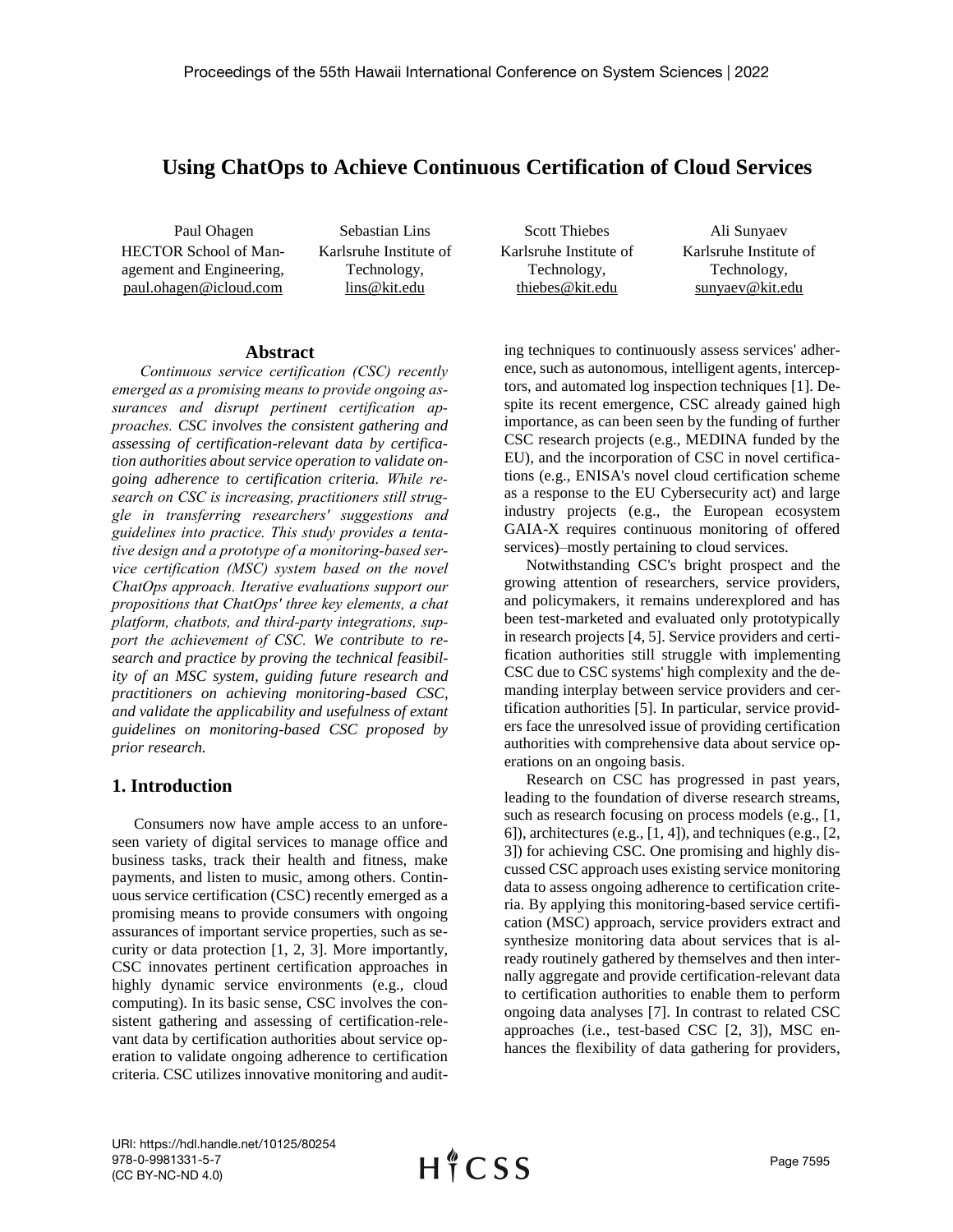# **Using ChatOps to Achieve Continuous Certification of Cloud Services**

HECTOR School of Management and Engineering, paul.ohagen@icloud.com

Paul Ohagen Sebastian Lins Scott Thiebes Ali Sunyaev Karlsruhe Institute of Technology, lins@kit.edu

Karlsruhe Institute of Technology, thiebes@kit.edu

Karlsruhe Institute of Technology, sunyaev@kit.edu

### **Abstract**

*Continuous service certification (CSC) recently emerged as a promising means to provide ongoing assurances and disrupt pertinent certification approaches. CSC involves the consistent gathering and assessing of certification-relevant data by certification authorities about service operation to validate ongoing adherence to certification criteria. While research on CSC is increasing, practitioners still struggle in transferring researchers' suggestions and guidelines into practice. This study provides a tentative design and a prototype of a monitoring-based service certification (MSC) system based on the novel ChatOps approach. Iterative evaluations support our propositions that ChatOps' three key elements, a chat platform, chatbots, and third-party integrations, support the achievement of CSC. We contribute to research and practice by proving the technical feasibility of an MSC system, guiding future research and practitioners on achieving monitoring-based CSC, and validate the applicability and usefulness of extant guidelines on monitoring-based CSC proposed by prior research.*

## **1. Introduction**

Consumers now have ample access to an unforeseen variety of digital services to manage office and business tasks, track their health and fitness, make payments, and listen to music, among others. Continuous service certification (CSC) recently emerged as a promising means to provide consumers with ongoing assurances of important service properties, such as security or data protection [1, 2, 3]. More importantly, CSC innovates pertinent certification approaches in highly dynamic service environments (e.g., cloud computing). In its basic sense, CSC involves the consistent gathering and assessing of certification-relevant data by certification authorities about service operation to validate ongoing adherence to certification criteria. CSC utilizes innovative monitoring and auditing techniques to continuously assess services' adherence, such as autonomous, intelligent agents, interceptors, and automated log inspection techniques [1]. Despite its recent emergence, CSC already gained high importance, as can been seen by the funding of further CSC research projects (e.g., MEDINA funded by the EU), and the incorporation of CSC in novel certifications (e.g., ENISA's novel cloud certification scheme as a response to the EU Cybersecurity act) and large industry projects (e.g., the European ecosystem GAIA-X requires continuous monitoring of offered services)–mostly pertaining to cloud services.

Notwithstanding CSC's bright prospect and the growing attention of researchers, service providers, and policymakers, it remains underexplored and has been test-marketed and evaluated only prototypically in research projects [4, 5]. Service providers and certification authorities still struggle with implementing CSC due to CSC systems' high complexity and the demanding interplay between service providers and certification authorities [5]. In particular, service providers face the unresolved issue of providing certification authorities with comprehensive data about service operations on an ongoing basis.

Research on CSC has progressed in past years, leading to the foundation of diverse research streams, such as research focusing on process models (e.g., [1, 6]), architectures (e.g.,  $[1, 4]$ ), and techniques (e.g.,  $[2, 1]$ ) 3]) for achieving CSC. One promising and highly discussed CSC approach uses existing service monitoring data to assess ongoing adherence to certification criteria. By applying this monitoring-based service certification (MSC) approach, service providers extract and synthesize monitoring data about services that is already routinely gathered by themselves and then internally aggregate and provide certification-relevant data to certification authorities to enable them to perform ongoing data analyses [7]. In contrast to related CSC approaches (i.e., test-based CSC [2, 3]), MSC enhances the flexibility of data gathering for providers,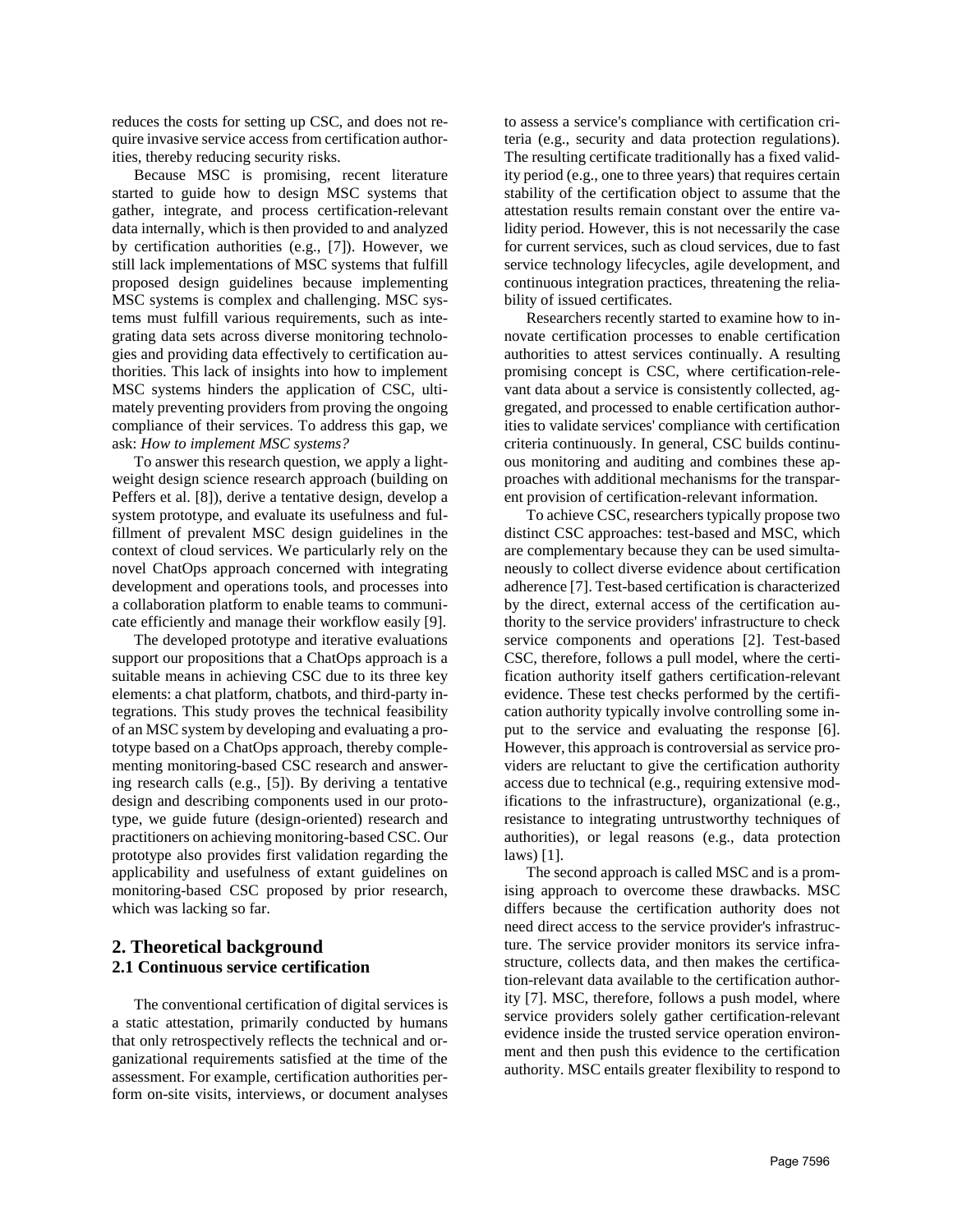reduces the costs for setting up CSC, and does not require invasive service access from certification authorities, thereby reducing security risks.

Because MSC is promising, recent literature started to guide how to design MSC systems that gather, integrate, and process certification-relevant data internally, which is then provided to and analyzed by certification authorities (e.g., [7]). However, we still lack implementations of MSC systems that fulfill proposed design guidelines because implementing MSC systems is complex and challenging. MSC systems must fulfill various requirements, such as integrating data sets across diverse monitoring technologies and providing data effectively to certification authorities. This lack of insights into how to implement MSC systems hinders the application of CSC, ultimately preventing providers from proving the ongoing compliance of their services. To address this gap, we ask: *How to implement MSC systems?*

To answer this research question, we apply a lightweight design science research approach (building on Peffers et al. [8]), derive a tentative design, develop a system prototype, and evaluate its usefulness and fulfillment of prevalent MSC design guidelines in the context of cloud services. We particularly rely on the novel ChatOps approach concerned with integrating development and operations tools, and processes into a collaboration platform to enable teams to communicate efficiently and manage their workflow easily [9].

The developed prototype and iterative evaluations support our propositions that a ChatOps approach is a suitable means in achieving CSC due to its three key elements: a chat platform, chatbots, and third-party integrations. This study proves the technical feasibility of an MSC system by developing and evaluating a prototype based on a ChatOps approach, thereby complementing monitoring-based CSC research and answering research calls (e.g., [5]). By deriving a tentative design and describing components used in our prototype, we guide future (design-oriented) research and practitioners on achieving monitoring-based CSC. Our prototype also provides first validation regarding the applicability and usefulness of extant guidelines on monitoring-based CSC proposed by prior research, which was lacking so far.

## **2. Theoretical background 2.1 Continuous service certification**

The conventional certification of digital services is a static attestation, primarily conducted by humans that only retrospectively reflects the technical and organizational requirements satisfied at the time of the assessment. For example, certification authorities perform on-site visits, interviews, or document analyses to assess a service's compliance with certification criteria (e.g., security and data protection regulations). The resulting certificate traditionally has a fixed validity period (e.g., one to three years) that requires certain stability of the certification object to assume that the attestation results remain constant over the entire validity period. However, this is not necessarily the case for current services, such as cloud services, due to fast service technology lifecycles, agile development, and continuous integration practices, threatening the reliability of issued certificates.

Researchers recently started to examine how to innovate certification processes to enable certification authorities to attest services continually. A resulting promising concept is CSC, where certification-relevant data about a service is consistently collected, aggregated, and processed to enable certification authorities to validate services' compliance with certification criteria continuously. In general, CSC builds continuous monitoring and auditing and combines these approaches with additional mechanisms for the transparent provision of certification-relevant information.

To achieve CSC, researchers typically propose two distinct CSC approaches: test-based and MSC, which are complementary because they can be used simultaneously to collect diverse evidence about certification adherence [7]. Test-based certification is characterized by the direct, external access of the certification authority to the service providers' infrastructure to check service components and operations [2]. Test-based CSC, therefore, follows a pull model, where the certification authority itself gathers certification-relevant evidence. These test checks performed by the certification authority typically involve controlling some input to the service and evaluating the response [6]. However, this approach is controversial as service providers are reluctant to give the certification authority access due to technical (e.g., requiring extensive modifications to the infrastructure), organizational (e.g., resistance to integrating untrustworthy techniques of authorities), or legal reasons (e.g., data protection laws) [1].

The second approach is called MSC and is a promising approach to overcome these drawbacks. MSC differs because the certification authority does not need direct access to the service provider's infrastructure. The service provider monitors its service infrastructure, collects data, and then makes the certification-relevant data available to the certification authority [7]. MSC, therefore, follows a push model, where service providers solely gather certification-relevant evidence inside the trusted service operation environment and then push this evidence to the certification authority. MSC entails greater flexibility to respond to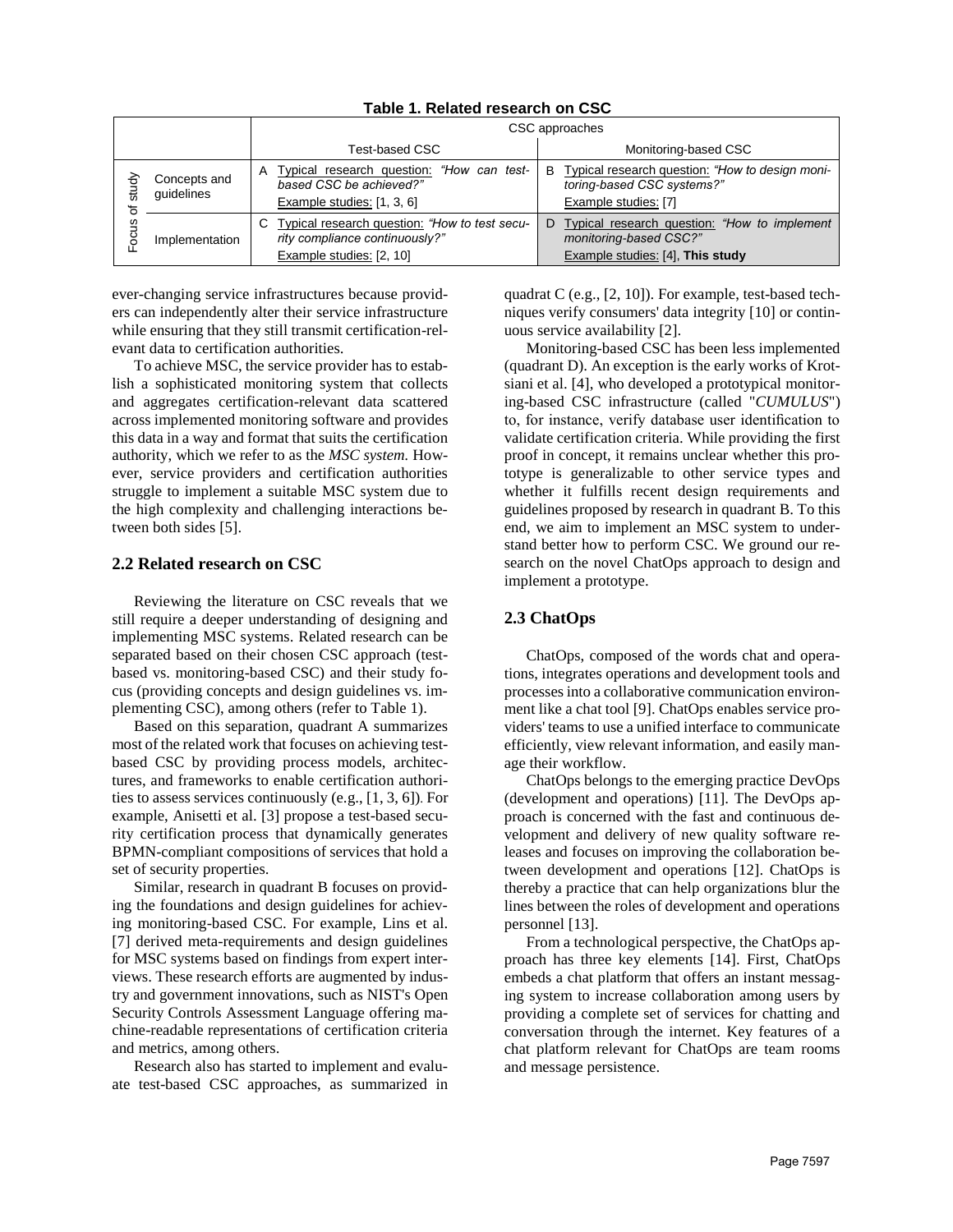<span id="page-2-0"></span>

|               |                            | CSC approaches                                                                                              |                                                                                                               |
|---------------|----------------------------|-------------------------------------------------------------------------------------------------------------|---------------------------------------------------------------------------------------------------------------|
|               |                            | Test-based CSC                                                                                              | Monitoring-based CSC                                                                                          |
| study<br>ocus | Concepts and<br>quidelines | Typical research question: "How can test-<br>Α<br>based CSC be achieved?"<br>Example studies: [1, 3, 6]     | B Typical research question: "How to design moni-<br>toring-based CSC systems?"<br>Example studies: [7]       |
|               | Implementation             | Typical research question: "How to test secu-<br>rity compliance continuously?"<br>Example studies: [2, 10] | D Typical research question: "How to implement"<br>monitoring-based CSC?"<br>Example studies: [4], This study |

**Table 1. Related research on CSC**

ever-changing service infrastructures because providers can independently alter their service infrastructure while ensuring that they still transmit certification-relevant data to certification authorities.

To achieve MSC, the service provider has to establish a sophisticated monitoring system that collects and aggregates certification-relevant data scattered across implemented monitoring software and provides this data in a way and format that suits the certification authority, which we refer to as the *MSC system.* However, service providers and certification authorities struggle to implement a suitable MSC system due to the high complexity and challenging interactions between both sides [5].

### **2.2 Related research on CSC**

Reviewing the literature on CSC reveals that we still require a deeper understanding of designing and implementing MSC systems. Related research can be separated based on their chosen CSC approach (testbased vs. monitoring-based CSC) and their study focus (providing concepts and design guidelines vs. implementing CSC), among others (refer to [Table 1\)](#page-2-0).

Based on this separation, quadrant A summarizes most of the related work that focuses on achieving testbased CSC by providing process models, architectures, and frameworks to enable certification authorities to assess services continuously (e.g., [1, 3, 6]). For example, Anisetti et al. [3] propose a test-based security certification process that dynamically generates BPMN-compliant compositions of services that hold a set of security properties.

Similar, research in quadrant B focuses on providing the foundations and design guidelines for achieving monitoring-based CSC. For example, Lins et al. [7] derived meta-requirements and design guidelines for MSC systems based on findings from expert interviews. These research efforts are augmented by industry and government innovations, such as NIST's Open Security Controls Assessment Language offering machine-readable representations of certification criteria and metrics, among others.

Research also has started to implement and evaluate test-based CSC approaches, as summarized in quadrat C (e.g., [2, 10]). For example, test-based techniques verify consumers' data integrity [10] or continuous service availability [2].

Monitoring-based CSC has been less implemented (quadrant D). An exception is the early works of Krotsiani et al. [4], who developed a prototypical monitoring-based CSC infrastructure (called "*CUMULUS*") to, for instance, verify database user identification to validate certification criteria. While providing the first proof in concept, it remains unclear whether this prototype is generalizable to other service types and whether it fulfills recent design requirements and guidelines proposed by research in quadrant B. To this end, we aim to implement an MSC system to understand better how to perform CSC. We ground our research on the novel ChatOps approach to design and implement a prototype.

## **2.3 ChatOps**

ChatOps, composed of the words chat and operations, integrates operations and development tools and processes into a collaborative communication environment like a chat tool [9]. ChatOps enables service providers' teams to use a unified interface to communicate efficiently, view relevant information, and easily manage their workflow.

ChatOps belongs to the emerging practice DevOps (development and operations) [11]. The DevOps approach is concerned with the fast and continuous development and delivery of new quality software releases and focuses on improving the collaboration between development and operations [12]. ChatOps is thereby a practice that can help organizations blur the lines between the roles of development and operations personnel [13].

From a technological perspective, the ChatOps approach has three key elements [14]. First, ChatOps embeds a chat platform that offers an instant messaging system to increase collaboration among users by providing a complete set of services for chatting and conversation through the internet. Key features of a chat platform relevant for ChatOps are team rooms and message persistence.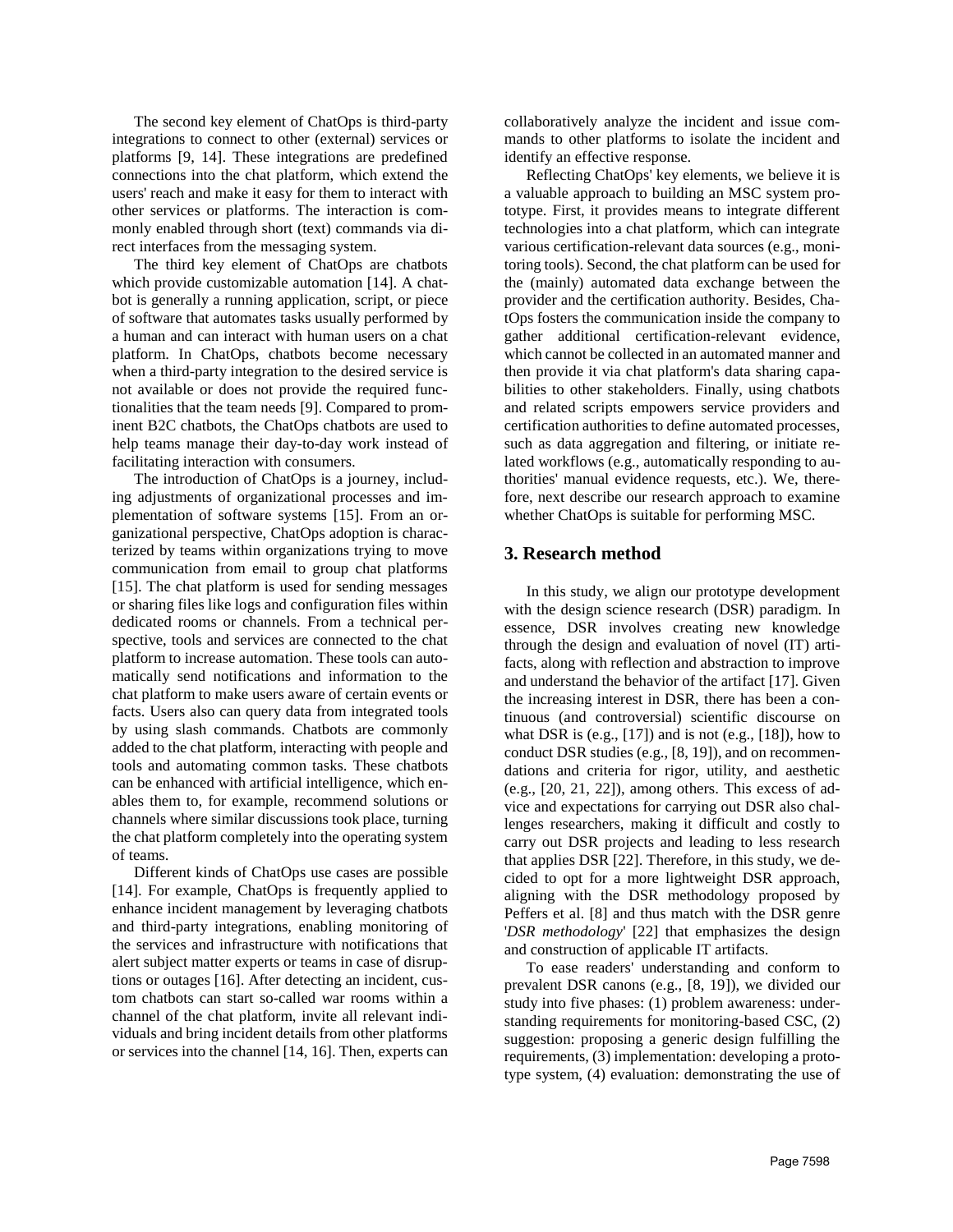The second key element of ChatOps is third-party integrations to connect to other (external) services or platforms [9, 14]. These integrations are predefined connections into the chat platform, which extend the users' reach and make it easy for them to interact with other services or platforms. The interaction is commonly enabled through short (text) commands via direct interfaces from the messaging system.

The third key element of ChatOps are chatbots which provide customizable automation [14]. A chatbot is generally a running application, script, or piece of software that automates tasks usually performed by a human and can interact with human users on a chat platform. In ChatOps, chatbots become necessary when a third-party integration to the desired service is not available or does not provide the required functionalities that the team needs [9]. Compared to prominent B2C chatbots, the ChatOps chatbots are used to help teams manage their day-to-day work instead of facilitating interaction with consumers.

The introduction of ChatOps is a journey, including adjustments of organizational processes and implementation of software systems [15]. From an organizational perspective, ChatOps adoption is characterized by teams within organizations trying to move communication from email to group chat platforms [15]. The chat platform is used for sending messages or sharing files like logs and configuration files within dedicated rooms or channels. From a technical perspective, tools and services are connected to the chat platform to increase automation. These tools can automatically send notifications and information to the chat platform to make users aware of certain events or facts. Users also can query data from integrated tools by using slash commands. Chatbots are commonly added to the chat platform, interacting with people and tools and automating common tasks. These chatbots can be enhanced with artificial intelligence, which enables them to, for example, recommend solutions or channels where similar discussions took place, turning the chat platform completely into the operating system of teams.

Different kinds of ChatOps use cases are possible [14]. For example, ChatOps is frequently applied to enhance incident management by leveraging chatbots and third-party integrations, enabling monitoring of the services and infrastructure with notifications that alert subject matter experts or teams in case of disruptions or outages [16]. After detecting an incident, custom chatbots can start so-called war rooms within a channel of the chat platform, invite all relevant individuals and bring incident details from other platforms or services into the channel [14, 16]. Then, experts can collaboratively analyze the incident and issue commands to other platforms to isolate the incident and identify an effective response.

Reflecting ChatOps' key elements, we believe it is a valuable approach to building an MSC system prototype. First, it provides means to integrate different technologies into a chat platform, which can integrate various certification-relevant data sources (e.g., monitoring tools). Second, the chat platform can be used for the (mainly) automated data exchange between the provider and the certification authority. Besides, ChatOps fosters the communication inside the company to gather additional certification-relevant evidence, which cannot be collected in an automated manner and then provide it via chat platform's data sharing capabilities to other stakeholders. Finally, using chatbots and related scripts empowers service providers and certification authorities to define automated processes, such as data aggregation and filtering, or initiate related workflows (e.g., automatically responding to authorities' manual evidence requests, etc.). We, therefore, next describe our research approach to examine whether ChatOps is suitable for performing MSC.

### **3. Research method**

In this study, we align our prototype development with the design science research (DSR) paradigm. In essence, DSR involves creating new knowledge through the design and evaluation of novel (IT) artifacts, along with reflection and abstraction to improve and understand the behavior of the artifact [17]. Given the increasing interest in DSR, there has been a continuous (and controversial) scientific discourse on what DSR is  $(e.g., [17])$  and is not  $(e.g., [18])$ , how to conduct DSR studies (e.g., [8, 19]), and on recommendations and criteria for rigor, utility, and aesthetic (e.g., [20, 21, 22]), among others. This excess of advice and expectations for carrying out DSR also challenges researchers, making it difficult and costly to carry out DSR projects and leading to less research that applies DSR [22]. Therefore, in this study, we decided to opt for a more lightweight DSR approach, aligning with the DSR methodology proposed by Peffers et al. [8] and thus match with the DSR genre '*DSR methodology*' [22] that emphasizes the design and construction of applicable IT artifacts.

To ease readers' understanding and conform to prevalent DSR canons (e.g., [8, 19]), we divided our study into five phases: (1) problem awareness: understanding requirements for monitoring-based CSC, (2) suggestion: proposing a generic design fulfilling the requirements, (3) implementation: developing a prototype system, (4) evaluation: demonstrating the use of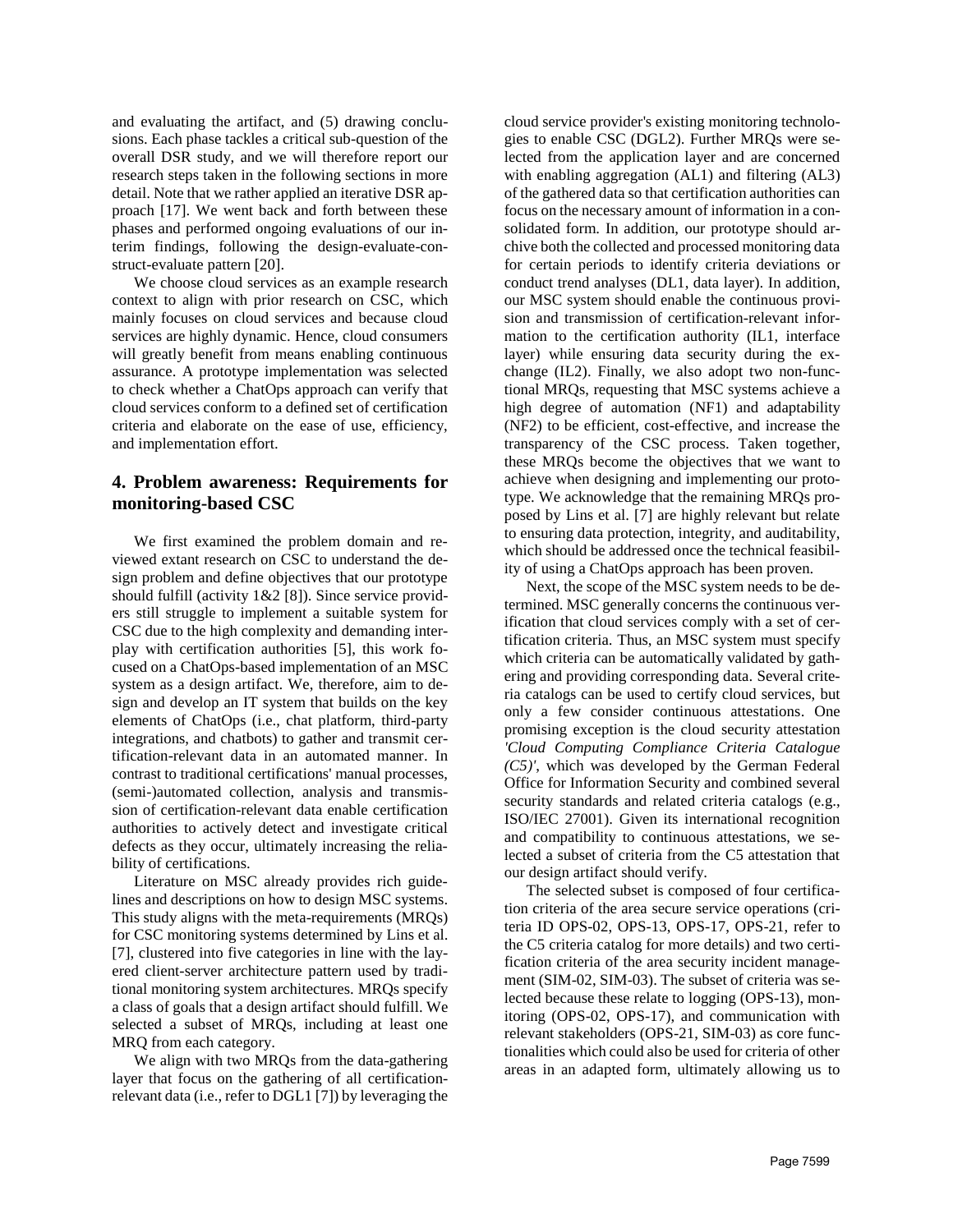and evaluating the artifact, and (5) drawing conclusions. Each phase tackles a critical sub-question of the overall DSR study, and we will therefore report our research steps taken in the following sections in more detail. Note that we rather applied an iterative DSR approach [17]. We went back and forth between these phases and performed ongoing evaluations of our interim findings, following the design-evaluate-construct-evaluate pattern [20].

We choose cloud services as an example research context to align with prior research on CSC, which mainly focuses on cloud services and because cloud services are highly dynamic. Hence, cloud consumers will greatly benefit from means enabling continuous assurance. A prototype implementation was selected to check whether a ChatOps approach can verify that cloud services conform to a defined set of certification criteria and elaborate on the ease of use, efficiency, and implementation effort.

## **4. Problem awareness: Requirements for monitoring-based CSC**

We first examined the problem domain and reviewed extant research on CSC to understand the design problem and define objectives that our prototype should fulfill (activity 1&2 [8]). Since service providers still struggle to implement a suitable system for CSC due to the high complexity and demanding interplay with certification authorities [5], this work focused on a ChatOps-based implementation of an MSC system as a design artifact. We, therefore, aim to design and develop an IT system that builds on the key elements of ChatOps (i.e., chat platform, third-party integrations, and chatbots) to gather and transmit certification-relevant data in an automated manner. In contrast to traditional certifications' manual processes, (semi-)automated collection, analysis and transmission of certification-relevant data enable certification authorities to actively detect and investigate critical defects as they occur, ultimately increasing the reliability of certifications.

Literature on MSC already provides rich guidelines and descriptions on how to design MSC systems. This study aligns with the meta-requirements (MRQs) for CSC monitoring systems determined by Lins et al. [7], clustered into five categories in line with the layered client-server architecture pattern used by traditional monitoring system architectures. MRQs specify a class of goals that a design artifact should fulfill. We selected a subset of MRQs, including at least one MRQ from each category.

We align with two MRQs from the data-gathering layer that focus on the gathering of all certificationrelevant data (i.e., refer to DGL1 [7]) by leveraging the cloud service provider's existing monitoring technologies to enable CSC (DGL2). Further MRQs were selected from the application layer and are concerned with enabling aggregation (AL1) and filtering (AL3) of the gathered data so that certification authorities can focus on the necessary amount of information in a consolidated form. In addition, our prototype should archive both the collected and processed monitoring data for certain periods to identify criteria deviations or conduct trend analyses (DL1, data layer). In addition, our MSC system should enable the continuous provision and transmission of certification-relevant information to the certification authority (IL1, interface layer) while ensuring data security during the exchange (IL2). Finally, we also adopt two non-functional MRQs, requesting that MSC systems achieve a high degree of automation (NF1) and adaptability (NF2) to be efficient, cost-effective, and increase the transparency of the CSC process. Taken together, these MRQs become the objectives that we want to achieve when designing and implementing our prototype. We acknowledge that the remaining MRQs proposed by Lins et al. [7] are highly relevant but relate to ensuring data protection, integrity, and auditability, which should be addressed once the technical feasibility of using a ChatOps approach has been proven.

Next, the scope of the MSC system needs to be determined. MSC generally concerns the continuous verification that cloud services comply with a set of certification criteria. Thus, an MSC system must specify which criteria can be automatically validated by gathering and providing corresponding data. Several criteria catalogs can be used to certify cloud services, but only a few consider continuous attestations. One promising exception is the cloud security attestation *'Cloud Computing Compliance Criteria Catalogue (C5)'*, which was developed by the German Federal Office for Information Security and combined several security standards and related criteria catalogs (e.g., ISO/IEC 27001). Given its international recognition and compatibility to continuous attestations, we selected a subset of criteria from the C5 attestation that our design artifact should verify.

The selected subset is composed of four certification criteria of the area secure service operations (criteria ID OPS-02, OPS-13, OPS-17, OPS-21, refer to the C5 criteria catalog for more details) and two certification criteria of the area security incident management (SIM-02, SIM-03). The subset of criteria was selected because these relate to logging (OPS-13), monitoring (OPS-02, OPS-17), and communication with relevant stakeholders (OPS-21, SIM-03) as core functionalities which could also be used for criteria of other areas in an adapted form, ultimately allowing us to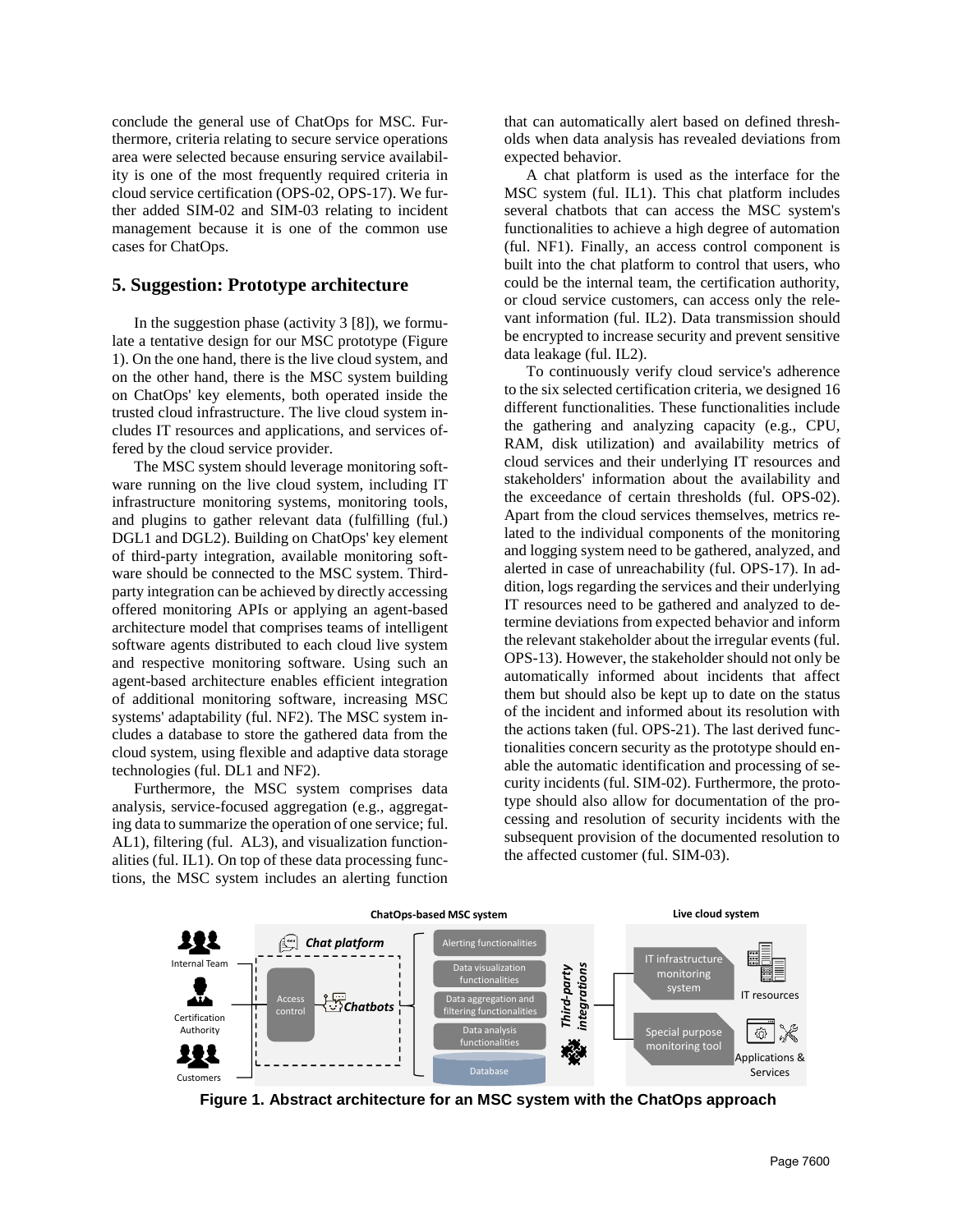conclude the general use of ChatOps for MSC. Furthermore, criteria relating to secure service operations area were selected because ensuring service availability is one of the most frequently required criteria in cloud service certification (OPS-02, OPS-17). We further added SIM-02 and SIM-03 relating to incident management because it is one of the common use cases for ChatOps.

#### **5. Suggestion: Prototype architecture**

In the suggestion phase (activity 3 [8]), we formulate a tentative design for our MSC prototype [\(Figure](#page-5-0)  [1\)](#page-5-0). On the one hand, there is the live cloud system, and on the other hand, there is the MSC system building on ChatOps' key elements, both operated inside the trusted cloud infrastructure. The live cloud system includes IT resources and applications, and services offered by the cloud service provider.

The MSC system should leverage monitoring software running on the live cloud system, including IT infrastructure monitoring systems, monitoring tools, and plugins to gather relevant data (fulfilling (ful.) DGL1 and DGL2). Building on ChatOps' key element of third-party integration, available monitoring software should be connected to the MSC system. Thirdparty integration can be achieved by directly accessing offered monitoring APIs or applying an agent-based architecture model that comprises teams of intelligent software agents distributed to each cloud live system and respective monitoring software. Using such an agent-based architecture enables efficient integration of additional monitoring software, increasing MSC systems' adaptability (ful. NF2). The MSC system includes a database to store the gathered data from the cloud system, using flexible and adaptive data storage technologies (ful. DL1 and NF2).

Furthermore, the MSC system comprises data analysis, service-focused aggregation (e.g., aggregating data to summarize the operation of one service; ful. AL1), filtering (ful. AL3), and visualization functionalities (ful. IL1). On top of these data processing functions, the MSC system includes an alerting function

that can automatically alert based on defined thresholds when data analysis has revealed deviations from expected behavior.

A chat platform is used as the interface for the MSC system (ful. IL1). This chat platform includes several chatbots that can access the MSC system's functionalities to achieve a high degree of automation (ful. NF1). Finally, an access control component is built into the chat platform to control that users, who could be the internal team, the certification authority, or cloud service customers, can access only the relevant information (ful. IL2). Data transmission should be encrypted to increase security and prevent sensitive data leakage (ful. IL2).

To continuously verify cloud service's adherence to the six selected certification criteria, we designed 16 different functionalities. These functionalities include the gathering and analyzing capacity (e.g., CPU, RAM, disk utilization) and availability metrics of cloud services and their underlying IT resources and stakeholders' information about the availability and the exceedance of certain thresholds (ful. OPS-02). Apart from the cloud services themselves, metrics related to the individual components of the monitoring and logging system need to be gathered, analyzed, and alerted in case of unreachability (ful. OPS-17). In addition, logs regarding the services and their underlying IT resources need to be gathered and analyzed to determine deviations from expected behavior and inform the relevant stakeholder about the irregular events (ful. OPS-13). However, the stakeholder should not only be automatically informed about incidents that affect them but should also be kept up to date on the status of the incident and informed about its resolution with the actions taken (ful. OPS-21). The last derived functionalities concern security as the prototype should enable the automatic identification and processing of security incidents (ful. SIM-02). Furthermore, the prototype should also allow for documentation of the processing and resolution of security incidents with the subsequent provision of the documented resolution to the affected customer (ful. SIM-03).



<span id="page-5-0"></span>**Figure 1. Abstract architecture for an MSC system with the ChatOps approach**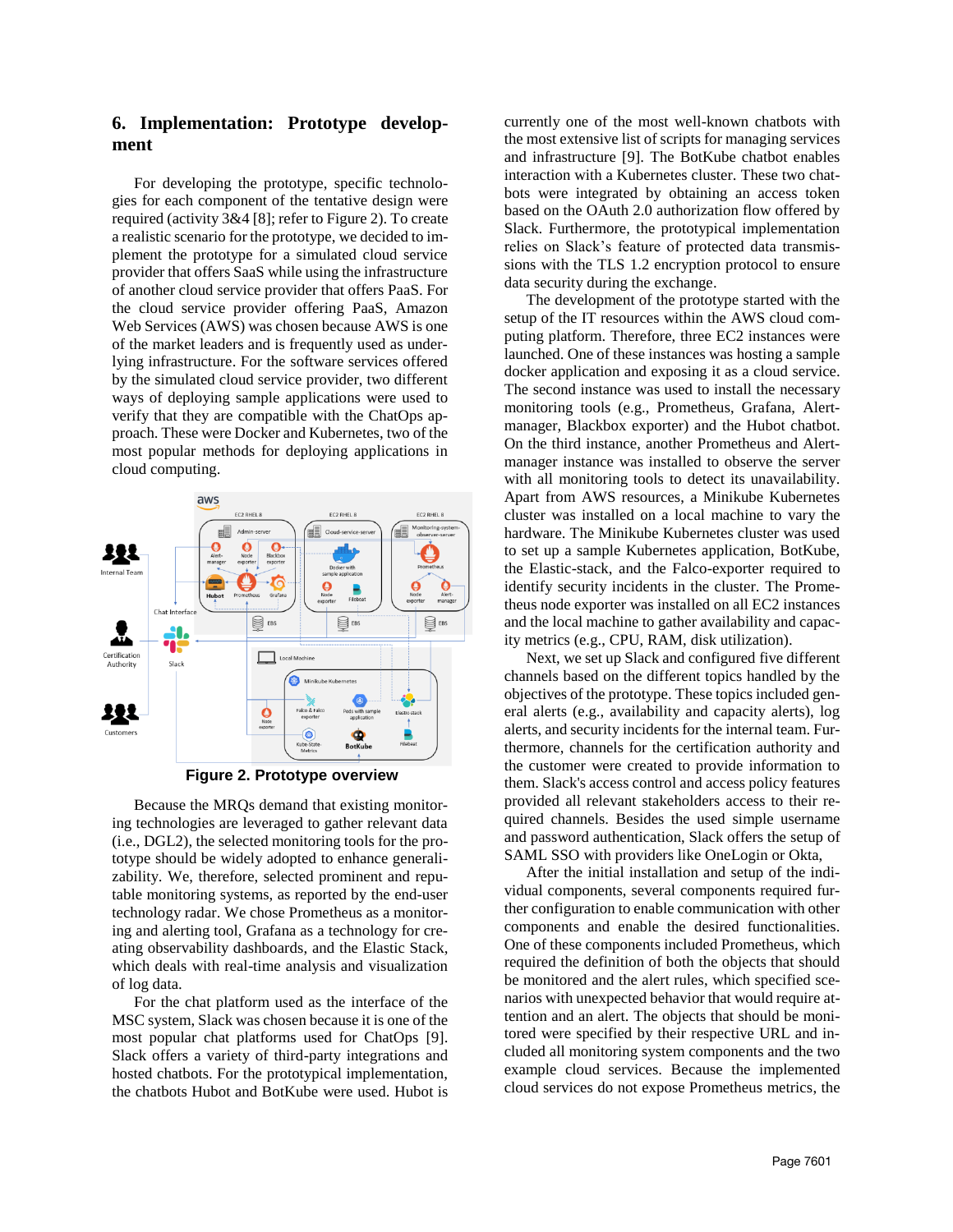## **6. Implementation: Prototype development**

For developing the prototype, specific technologies for each component of the tentative design were required (activity 3&4 [8]; refer to [Figure 2\)](#page-6-0). To create a realistic scenario for the prototype, we decided to implement the prototype for a simulated cloud service provider that offers SaaS while using the infrastructure of another cloud service provider that offers PaaS. For the cloud service provider offering PaaS, Amazon Web Services (AWS) was chosen because AWS is one of the market leaders and is frequently used as underlying infrastructure. For the software services offered by the simulated cloud service provider, two different ways of deploying sample applications were used to verify that they are compatible with the ChatOps approach. These were Docker and Kubernetes, two of the most popular methods for deploying applications in cloud computing.



**Figure 2. Prototype overview**

<span id="page-6-0"></span>Because the MRQs demand that existing monitoring technologies are leveraged to gather relevant data (i.e., DGL2), the selected monitoring tools for the prototype should be widely adopted to enhance generalizability. We, therefore, selected prominent and reputable monitoring systems, as reported by the end-user technology radar. We chose Prometheus as a monitoring and alerting tool, Grafana as a technology for creating observability dashboards, and the Elastic Stack, which deals with real-time analysis and visualization of log data.

For the chat platform used as the interface of the MSC system, Slack was chosen because it is one of the most popular chat platforms used for ChatOps [9]. Slack offers a variety of third-party integrations and hosted chatbots. For the prototypical implementation, the chatbots Hubot and BotKube were used. Hubot is currently one of the most well-known chatbots with the most extensive list of scripts for managing services and infrastructure [9]. The BotKube chatbot enables interaction with a Kubernetes cluster. These two chatbots were integrated by obtaining an access token based on the OAuth 2.0 authorization flow offered by Slack. Furthermore, the prototypical implementation relies on Slack's feature of protected data transmissions with the TLS 1.2 encryption protocol to ensure data security during the exchange.

The development of the prototype started with the setup of the IT resources within the AWS cloud computing platform. Therefore, three EC2 instances were launched. One of these instances was hosting a sample docker application and exposing it as a cloud service. The second instance was used to install the necessary monitoring tools (e.g., Prometheus, Grafana, Alertmanager, Blackbox exporter) and the Hubot chatbot. On the third instance, another Prometheus and Alertmanager instance was installed to observe the server with all monitoring tools to detect its unavailability. Apart from AWS resources, a Minikube Kubernetes cluster was installed on a local machine to vary the hardware. The Minikube Kubernetes cluster was used to set up a sample Kubernetes application, BotKube, the Elastic-stack, and the Falco-exporter required to identify security incidents in the cluster. The Prometheus node exporter was installed on all EC2 instances and the local machine to gather availability and capacity metrics (e.g., CPU, RAM, disk utilization).

Next, we set up Slack and configured five different channels based on the different topics handled by the objectives of the prototype. These topics included general alerts (e.g., availability and capacity alerts), log alerts, and security incidents for the internal team. Furthermore, channels for the certification authority and the customer were created to provide information to them. Slack's access control and access policy features provided all relevant stakeholders access to their required channels. Besides the used simple username and password authentication, Slack offers the setup of SAML SSO with providers like OneLogin or Okta,

After the initial installation and setup of the individual components, several components required further configuration to enable communication with other components and enable the desired functionalities. One of these components included Prometheus, which required the definition of both the objects that should be monitored and the alert rules, which specified scenarios with unexpected behavior that would require attention and an alert. The objects that should be monitored were specified by their respective URL and included all monitoring system components and the two example cloud services. Because the implemented cloud services do not expose Prometheus metrics, the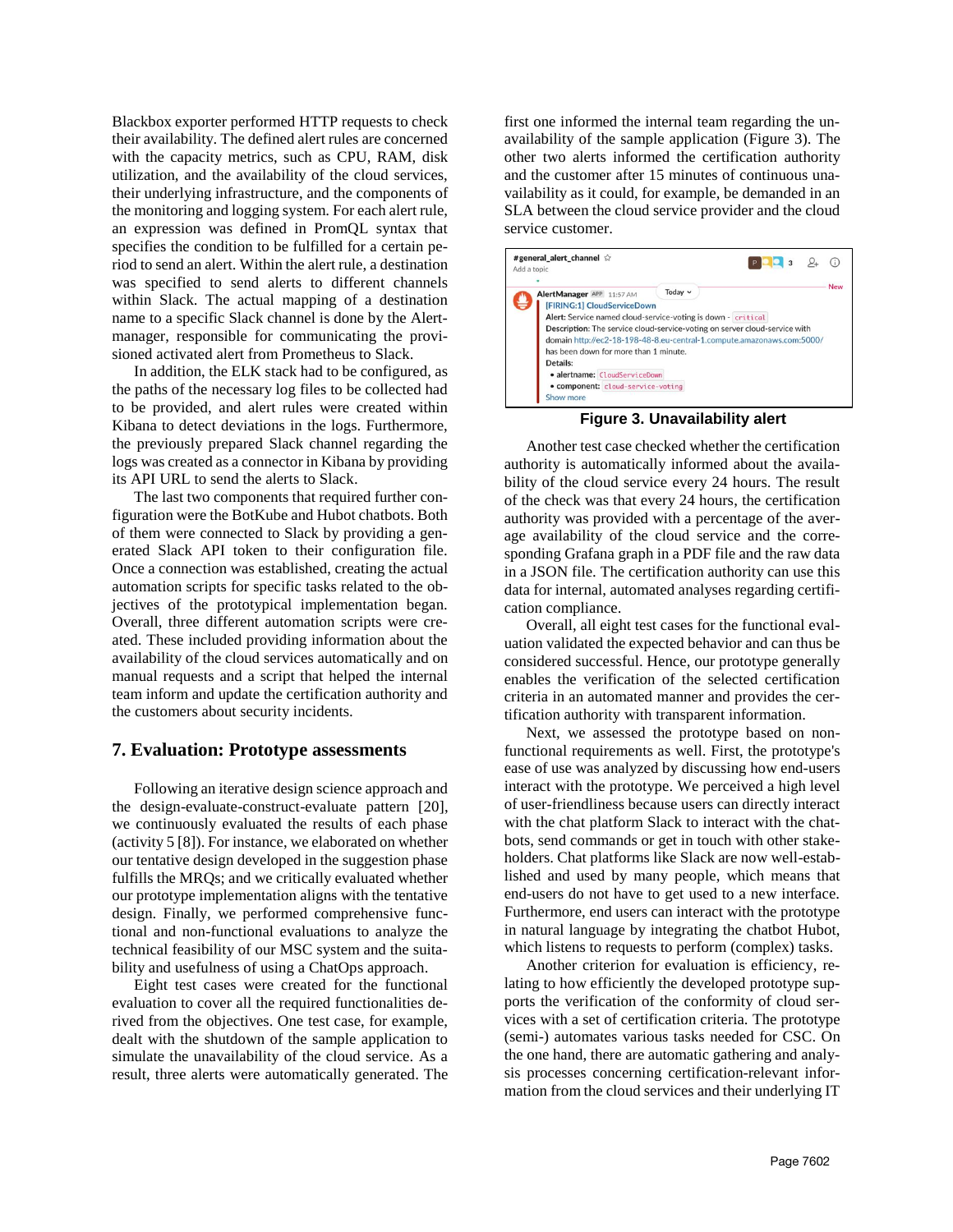Blackbox exporter performed HTTP requests to check their availability. The defined alert rules are concerned with the capacity metrics, such as CPU, RAM, disk utilization, and the availability of the cloud services, their underlying infrastructure, and the components of the monitoring and logging system. For each alert rule, an expression was defined in PromQL syntax that specifies the condition to be fulfilled for a certain period to send an alert. Within the alert rule, a destination was specified to send alerts to different channels within Slack. The actual mapping of a destination name to a specific Slack channel is done by the Alertmanager, responsible for communicating the provisioned activated alert from Prometheus to Slack.

In addition, the ELK stack had to be configured, as the paths of the necessary log files to be collected had to be provided, and alert rules were created within Kibana to detect deviations in the logs. Furthermore, the previously prepared Slack channel regarding the logs was created as a connector in Kibana by providing its API URL to send the alerts to Slack.

The last two components that required further configuration were the BotKube and Hubot chatbots. Both of them were connected to Slack by providing a generated Slack API token to their configuration file. Once a connection was established, creating the actual automation scripts for specific tasks related to the objectives of the prototypical implementation began. Overall, three different automation scripts were created. These included providing information about the availability of the cloud services automatically and on manual requests and a script that helped the internal team inform and update the certification authority and the customers about security incidents.

#### **7. Evaluation: Prototype assessments**

Following an iterative design science approach and the design-evaluate-construct-evaluate pattern [20], we continuously evaluated the results of each phase (activity 5 [8]). For instance, we elaborated on whether our tentative design developed in the suggestion phase fulfills the MRQs; and we critically evaluated whether our prototype implementation aligns with the tentative design. Finally, we performed comprehensive functional and non-functional evaluations to analyze the technical feasibility of our MSC system and the suitability and usefulness of using a ChatOps approach.

Eight test cases were created for the functional evaluation to cover all the required functionalities derived from the objectives. One test case, for example, dealt with the shutdown of the sample application to simulate the unavailability of the cloud service. As a result, three alerts were automatically generated. The

first one informed the internal team regarding the unavailability of the sample application [\(Figure 3\)](#page-7-0). The other two alerts informed the certification authority and the customer after 15 minutes of continuous unavailability as it could, for example, be demanded in an SLA between the cloud service provider and the cloud service customer.



**Figure 3. Unavailability alert** 

<span id="page-7-0"></span>Another test case checked whether the certification authority is automatically informed about the availability of the cloud service every 24 hours. The result of the check was that every 24 hours, the certification authority was provided with a percentage of the average availability of the cloud service and the corresponding Grafana graph in a PDF file and the raw data in a JSON file. The certification authority can use this data for internal, automated analyses regarding certification compliance.

Overall, all eight test cases for the functional evaluation validated the expected behavior and can thus be considered successful. Hence, our prototype generally enables the verification of the selected certification criteria in an automated manner and provides the certification authority with transparent information.

Next, we assessed the prototype based on nonfunctional requirements as well. First, the prototype's ease of use was analyzed by discussing how end-users interact with the prototype. We perceived a high level of user-friendliness because users can directly interact with the chat platform Slack to interact with the chatbots, send commands or get in touch with other stakeholders. Chat platforms like Slack are now well-established and used by many people, which means that end-users do not have to get used to a new interface. Furthermore, end users can interact with the prototype in natural language by integrating the chatbot Hubot, which listens to requests to perform (complex) tasks.

Another criterion for evaluation is efficiency, relating to how efficiently the developed prototype supports the verification of the conformity of cloud services with a set of certification criteria. The prototype (semi-) automates various tasks needed for CSC. On the one hand, there are automatic gathering and analysis processes concerning certification-relevant information from the cloud services and their underlying IT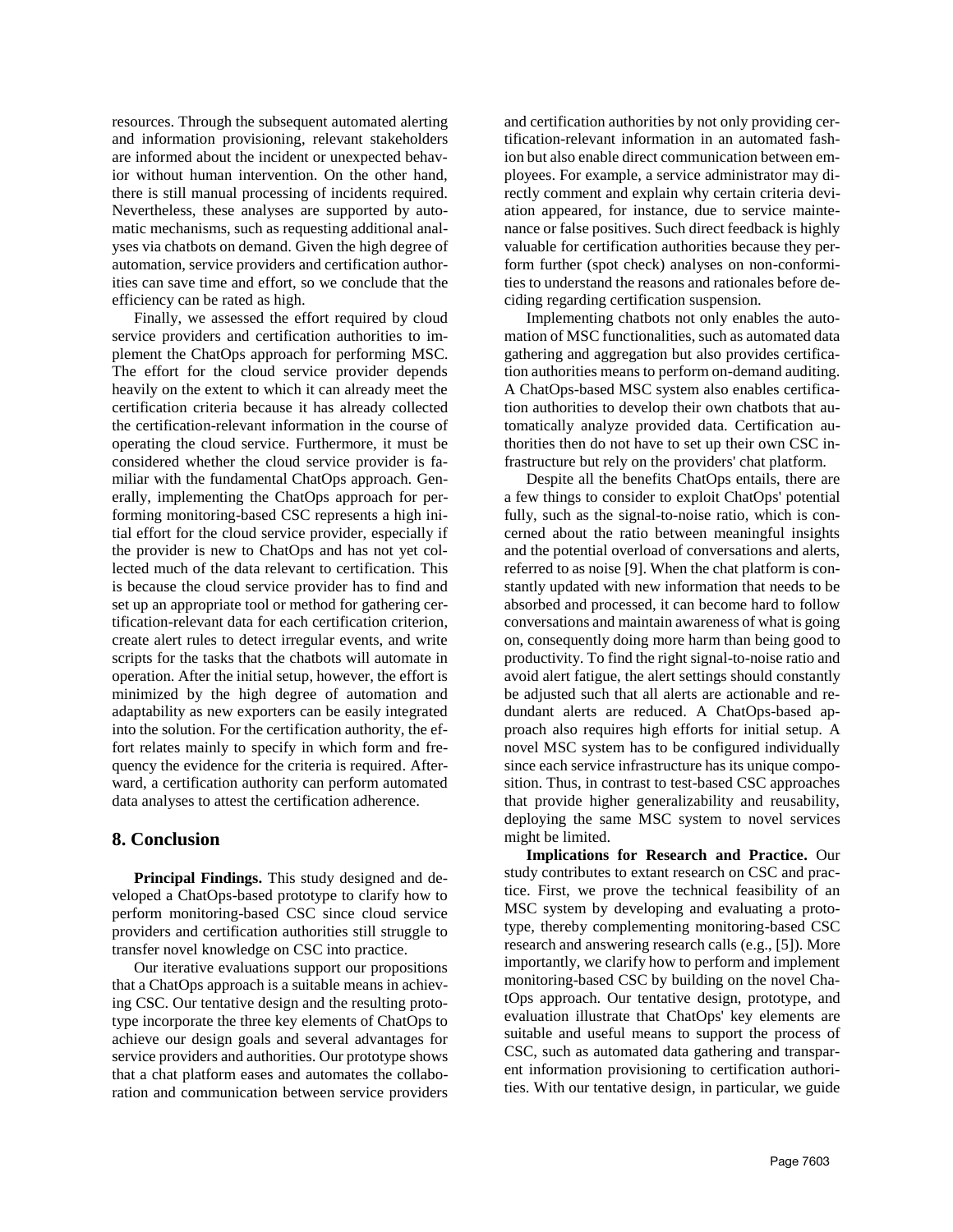resources. Through the subsequent automated alerting and information provisioning, relevant stakeholders are informed about the incident or unexpected behavior without human intervention. On the other hand, there is still manual processing of incidents required. Nevertheless, these analyses are supported by automatic mechanisms, such as requesting additional analyses via chatbots on demand. Given the high degree of automation, service providers and certification authorities can save time and effort, so we conclude that the efficiency can be rated as high.

Finally, we assessed the effort required by cloud service providers and certification authorities to implement the ChatOps approach for performing MSC. The effort for the cloud service provider depends heavily on the extent to which it can already meet the certification criteria because it has already collected the certification-relevant information in the course of operating the cloud service. Furthermore, it must be considered whether the cloud service provider is familiar with the fundamental ChatOps approach. Generally, implementing the ChatOps approach for performing monitoring-based CSC represents a high initial effort for the cloud service provider, especially if the provider is new to ChatOps and has not yet collected much of the data relevant to certification. This is because the cloud service provider has to find and set up an appropriate tool or method for gathering certification-relevant data for each certification criterion, create alert rules to detect irregular events, and write scripts for the tasks that the chatbots will automate in operation. After the initial setup, however, the effort is minimized by the high degree of automation and adaptability as new exporters can be easily integrated into the solution. For the certification authority, the effort relates mainly to specify in which form and frequency the evidence for the criteria is required. Afterward, a certification authority can perform automated data analyses to attest the certification adherence.

### **8. Conclusion**

**Principal Findings.** This study designed and developed a ChatOps-based prototype to clarify how to perform monitoring-based CSC since cloud service providers and certification authorities still struggle to transfer novel knowledge on CSC into practice.

Our iterative evaluations support our propositions that a ChatOps approach is a suitable means in achieving CSC. Our tentative design and the resulting prototype incorporate the three key elements of ChatOps to achieve our design goals and several advantages for service providers and authorities. Our prototype shows that a chat platform eases and automates the collaboration and communication between service providers

and certification authorities by not only providing certification-relevant information in an automated fashion but also enable direct communication between employees. For example, a service administrator may directly comment and explain why certain criteria deviation appeared, for instance, due to service maintenance or false positives. Such direct feedback is highly valuable for certification authorities because they perform further (spot check) analyses on non-conformities to understand the reasons and rationales before deciding regarding certification suspension.

Implementing chatbots not only enables the automation of MSC functionalities, such as automated data gathering and aggregation but also provides certification authorities means to perform on-demand auditing. A ChatOps-based MSC system also enables certification authorities to develop their own chatbots that automatically analyze provided data. Certification authorities then do not have to set up their own CSC infrastructure but rely on the providers' chat platform.

Despite all the benefits ChatOps entails, there are a few things to consider to exploit ChatOps' potential fully, such as the signal-to-noise ratio, which is concerned about the ratio between meaningful insights and the potential overload of conversations and alerts, referred to as noise [9]. When the chat platform is constantly updated with new information that needs to be absorbed and processed, it can become hard to follow conversations and maintain awareness of what is going on, consequently doing more harm than being good to productivity. To find the right signal-to-noise ratio and avoid alert fatigue, the alert settings should constantly be adjusted such that all alerts are actionable and redundant alerts are reduced. A ChatOps-based approach also requires high efforts for initial setup. A novel MSC system has to be configured individually since each service infrastructure has its unique composition. Thus, in contrast to test-based CSC approaches that provide higher generalizability and reusability, deploying the same MSC system to novel services might be limited.

**Implications for Research and Practice.** Our study contributes to extant research on CSC and practice. First, we prove the technical feasibility of an MSC system by developing and evaluating a prototype, thereby complementing monitoring-based CSC research and answering research calls (e.g., [5]). More importantly, we clarify how to perform and implement monitoring-based CSC by building on the novel ChatOps approach. Our tentative design, prototype, and evaluation illustrate that ChatOps' key elements are suitable and useful means to support the process of CSC, such as automated data gathering and transparent information provisioning to certification authorities. With our tentative design, in particular, we guide